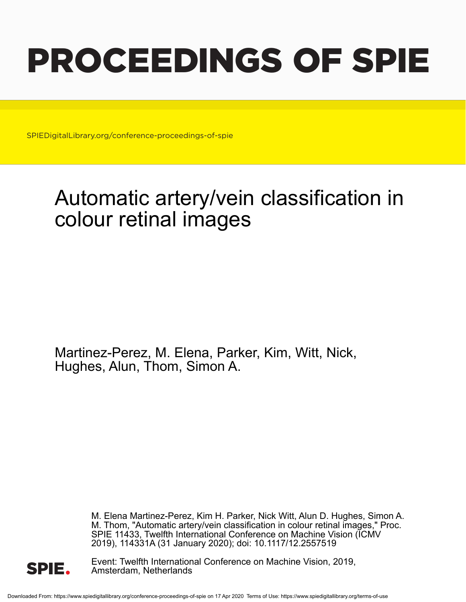# PROCEEDINGS OF SPIE

SPIEDigitalLibrary.org/conference-proceedings-of-spie

## Automatic artery/vein classification in colour retinal images

Martinez-Perez, M. Elena, Parker, Kim, Witt, Nick, Hughes, Alun, Thom, Simon A.

> M. Elena Martinez-Perez, Kim H. Parker, Nick Witt, Alun D. Hughes, Simon A. M. Thom, "Automatic artery/vein classification in colour retinal images," Proc. SPIE 11433, Twelfth International Conference on Machine Vision (ICMV 2019), 114331A (31 January 2020); doi: 10.1117/12.2557519



Event: Twelfth International Conference on Machine Vision, 2019, Amsterdam, Netherlands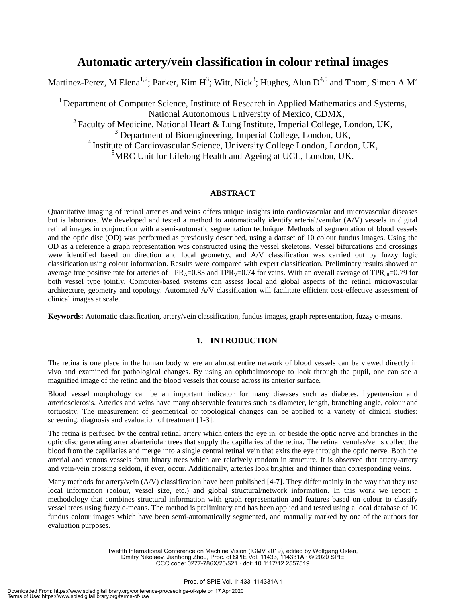### **Automatic artery/vein classification in colour retinal images**

Martinez-Perez, M Elena<sup>1,2</sup>; Parker, Kim H<sup>3</sup>; Witt, Nick<sup>3</sup>; Hughes, Alun D<sup>4,5</sup> and Thom, Simon A M<sup>2</sup>

<sup>1</sup> Department of Computer Science, Institute of Research in Applied Mathematics and Systems, National Autonomous University of Mexico, CDMX, <sup>2</sup> Faculty of Medicine, National Heart & Lung Institute, Imperial College, London, UK, <sup>3</sup> Department of Bioengineering, Imperial College, London, UK, 4 Institute of Cardiovascular Science, University College London, London, UK,

 ${}^{5}$ MRC Unit for Lifelong Health and Ageing at UCL, London, UK.

#### **ABSTRACT**

Quantitative imaging of retinal arteries and veins offers unique insights into cardiovascular and microvascular diseases but is laborious. We developed and tested a method to automatically identify arterial/venular (A/V) vessels in digital retinal images in conjunction with a semi-automatic segmentation technique. Methods of segmentation of blood vessels and the optic disc (OD) was performed as previously described, using a dataset of 10 colour fundus images. Using the OD as a reference a graph representation was constructed using the vessel skeletons. Vessel bifurcations and crossings were identified based on direction and local geometry, and A/V classification was carried out by fuzzy logic classification using colour information. Results were compared with expert classification. Preliminary results showed an average true positive rate for arteries of TPR<sub>A</sub>=0.83 and TPR<sub>V</sub>=0.74 for veins. With an overall average of TPR<sub>all</sub>=0.79 for both vessel type jointly. Computer-based systems can assess local and global aspects of the retinal microvascular architecture, geometry and topology. Automated A/V classification will facilitate efficient cost-effective assessment of clinical images at scale.

**Keywords:** Automatic classification, artery/vein classification, fundus images, graph representation, fuzzy c-means.

#### **1. INTRODUCTION**

The retina is one place in the human body where an almost entire network of blood vessels can be viewed directly in vivo and examined for pathological changes. By using an ophthalmoscope to look through the pupil, one can see a magnified image of the retina and the blood vessels that course across its anterior surface.

Blood vessel morphology can be an important indicator for many diseases such as diabetes, hypertension and arteriosclerosis. Arteries and veins have many observable features such as diameter, length, branching angle, colour and tortuosity. The measurement of geometrical or topological changes can be applied to a variety of clinical studies: screening, diagnosis and evaluation of treatment [1-3].

The retina is perfused by the central retinal artery which enters the eye in, or beside the optic nerve and branches in the optic disc generating arterial/arteriolar trees that supply the capillaries of the retina. The retinal venules/veins collect the blood from the capillaries and merge into a single central retinal vein that exits the eye through the optic nerve. Both the arterial and venous vessels form binary trees which are relatively random in structure. It is observed that artery-artery and vein-vein crossing seldom, if ever, occur. Additionally, arteries look brighter and thinner than corresponding veins.

Many methods for artery/vein (A/V) classification have been published [4-7]. They differ mainly in the way that they use local information (colour, vessel size, etc.) and global structural/network information. In this work we report a methodology that combines structural information with graph representation and features based on colour to classify vessel trees using fuzzy c-means. The method is preliminary and has been applied and tested using a local database of 10 fundus colour images which have been semi-automatically segmented, and manually marked by one of the authors for evaluation purposes.

> Twelfth International Conference on Machine Vision (ICMV 2019), edited by Wolfgang Osten, Dmitry Nikolaev, Jianhong Zhou, Proc. of SPIE Vol. 11433, 114331A · © 2020 SPIE CCC code: 0277-786X/20/\$21 · doi: 10.1117/12.2557519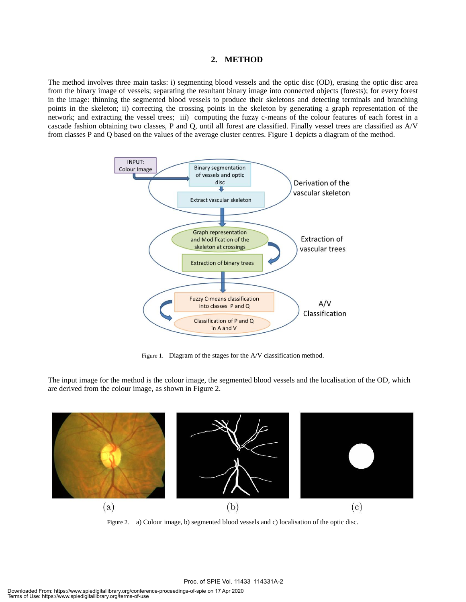#### **2. METHOD**

The method involves three main tasks: i) segmenting blood vessels and the optic disc (OD), erasing the optic disc area from the binary image of vessels; separating the resultant binary image into connected objects (forests); for every forest in the image: thinning the segmented blood vessels to produce their skeletons and detecting terminals and branching points in the skeleton; ii) correcting the crossing points in the skeleton by generating a graph representation of the network; and extracting the vessel trees; iii) computing the fuzzy c-means of the colour features of each forest in a cascade fashion obtaining two classes, P and Q, until all forest are classified. Finally vessel trees are classified as A/V from classes P and Q based on the values of the average cluster centres. Figure 1 depicts a diagram of the method.



Figure 1. Diagram of the stages for the A/V classification method.

The input image for the method is the colour image, the segmented blood vessels and the localisation of the OD, which are derived from the colour image, as shown in Figure 2.



Figure 2. a) Colour image, b) segmented blood vessels and c) localisation of the optic disc.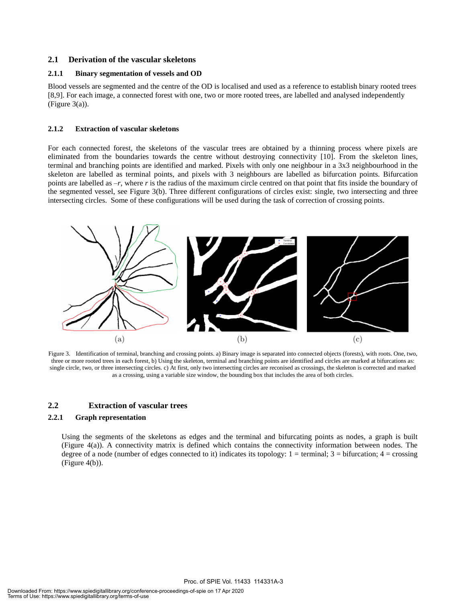#### **2.1 Derivation of the vascular skeletons**

#### **2.1.1 Binary segmentation of vessels and OD**

Blood vessels are segmented and the centre of the OD is localised and used as a reference to establish binary rooted trees [8,9]. For each image, a connected forest with one, two or more rooted trees, are labelled and analysed independently (Figure 3(a)).

#### **2.1.2 Extraction of vascular skeletons**

For each connected forest, the skeletons of the vascular trees are obtained by a thinning process where pixels are eliminated from the boundaries towards the centre without destroying connectivity [10]. From the skeleton lines, terminal and branching points are identified and marked. Pixels with only one neighbour in a 3x3 neighbourhood in the skeleton are labelled as terminal points, and pixels with 3 neighbours are labelled as bifurcation points. Bifurcation points are labelled as –*r*, where *r* is the radius of the maximum circle centred on that point that fits inside the boundary of the segmented vessel, see Figure 3(b). Three different configurations of circles exist: single, two intersecting and three intersecting circles. Some of these configurations will be used during the task of correction of crossing points.



Figure 3. Identification of terminal, branching and crossing points. a) Binary image is separated into connected objects (forests), with roots. One, two, three or more rooted trees in each forest, b) Using the skeleton, terminal and branching points are identified and circles are marked at bifurcations as: single circle, two, or three intersecting circles. c) At first, only two intersecting circles are reconised as crossings, the skeleton is corrected and marked as a crossing, using a variable size window, the bounding box that includes the area of both circles.

#### **2.2 Extraction of vascular trees**

#### **2.2.1 Graph representation**

Using the segments of the skeletons as edges and the terminal and bifurcating points as nodes, a graph is built (Figure 4(a)). A connectivity matrix is defined which contains the connectivity information between nodes. The degree of a node (number of edges connected to it) indicates its topology:  $1 =$  terminal;  $3 =$  bifurcation;  $4 =$  crossing (Figure 4(b)).

Proc. of SPIE Vol. 11433 114331A-3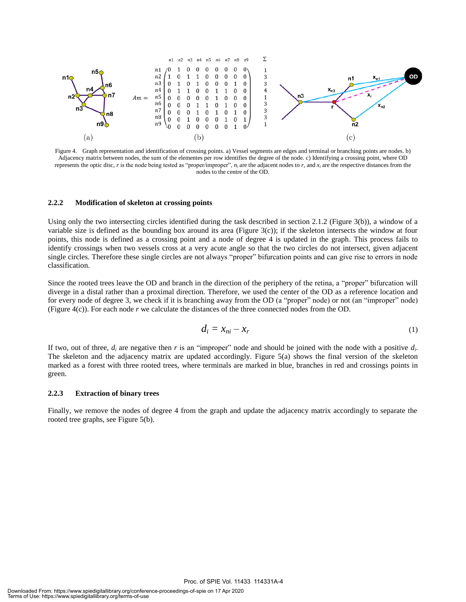

Figure 4. Graph representation and identification of crossing points. a) Vessel segments are edges and terminal or branching points are nodes. b) Adjacency matrix between nodes, the sum of the elementes per row identifies the degree of the node. c) Identifying a crossing point, where OD represents the optic disc,  $r$  is the node being tested as "proper/improper",  $n_i$  are the adjacent nodes to  $r$ , and  $x_i$  are the respective distances from the nodes to the centre of the OD.

#### **2.2.2 Modification of skeleton at crossing points**

Using only the two intersecting circles identified during the task described in section 2.1.2 (Figure 3(b)), a window of a variable size is defined as the bounding box around its area (Figure  $3(c)$ ); if the skeleton intersects the window at four points, this node is defined as a crossing point and a node of degree 4 is updated in the graph. This process fails to identify crossings when two vessels cross at a very acute angle so that the two circles do not intersect, given adjacent single circles. Therefore these single circles are not always "proper" bifurcation points and can give rise to errors in node classification.

Since the rooted trees leave the OD and branch in the direction of the periphery of the retina, a "proper" bifurcation will diverge in a distal rather than a proximal direction. Therefore, we used the center of the OD as a reference location and for every node of degree 3, we check if it is branching away from the OD (a "proper" node) or not (an "improper" node) (Figure 4(c)). For each node *r* we calculate the distances of the three connected nodes from the OD.

$$
d_i = x_{ni} - x_r \tag{1}
$$

If two, out of three,  $d_i$  are negative then  $r$  is an "improper" node and should be joined with the node with a positive  $d_i$ . The skeleton and the adjacency matrix are updated accordingly. Figure 5(a) shows the final version of the skeleton marked as a forest with three rooted trees, where terminals are marked in blue, branches in red and crossings points in green.

#### **2.2.3 Extraction of binary trees**

Finally, we remove the nodes of degree 4 from the graph and update the adjacency matrix accordingly to separate the rooted tree graphs, see Figure 5(b).

Proc. of SPIE Vol. 11433 114331A-4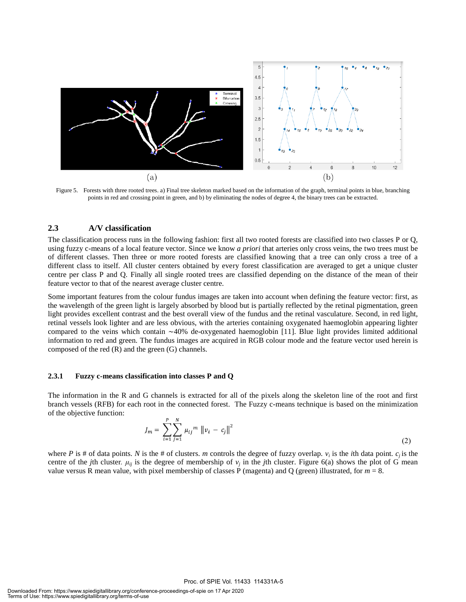

Figure 5. Forests with three rooted trees. a) Final tree skeleton marked based on the information of the graph, terminal points in blue, branching points in red and crossing point in green, and b) by eliminating the nodes of degree 4, the binary trees can be extracted.

#### **2.3 A/V classification**

The classification process runs in the following fashion: first all two rooted forests are classified into two classes P or Q, using fuzzy c-means of a local feature vector. Since we know *a priori* that arteries only cross veins, the two trees must be of different classes. Then three or more rooted forests are classified knowing that a tree can only cross a tree of a different class to itself. All cluster centers obtained by every forest classification are averaged to get a unique cluster centre per class P and Q. Finally all single rooted trees are classified depending on the distance of the mean of their feature vector to that of the nearest average cluster centre.

Some important features from the colour fundus images are taken into account when defining the feature vector: first, as the wavelength of the green light is largely absorbed by blood but is partially reflected by the retinal pigmentation, green light provides excellent contrast and the best overall view of the fundus and the retinal vasculature. Second, in red light, retinal vessels look lighter and are less obvious, with the arteries containing oxygenated haemoglobin appearing lighter compared to the veins which contain ∼40% de-oxygenated haemoglobin [11]. Blue light provides limited additional information to red and green. The fundus images are acquired in RGB colour mode and the feature vector used herein is composed of the red (R) and the green (G) channels.

#### **2.3.1 Fuzzy c-means classification into classes P and Q**

The information in the R and G channels is extracted for all of the pixels along the skeleton line of the root and first branch vessels (RFB) for each root in the connected forest. The Fuzzy c-means technique is based on the minimization of the objective function:

$$
J_m = \sum_{i=1}^{P} \sum_{j=1}^{N} \mu_{ij}^{m} \|v_i - c_j\|^2
$$
\n(2)

where *P* is # of data points. *N* is the # of clusters. *m* controls the degree of fuzzy overlap.  $v_i$  is the *i*th data point.  $c_j$  is the centre of the *j*th cluster.  $\mu_{ij}$  is the degree of membership of  $v_j$  in the *j*th cluster. Figure 6(a) shows the plot of G mean value versus R mean value, with pixel membership of classes P (magenta) and Q (green) illustrated, for *m* = 8.

Proc. of SPIE Vol. 11433 114331A-5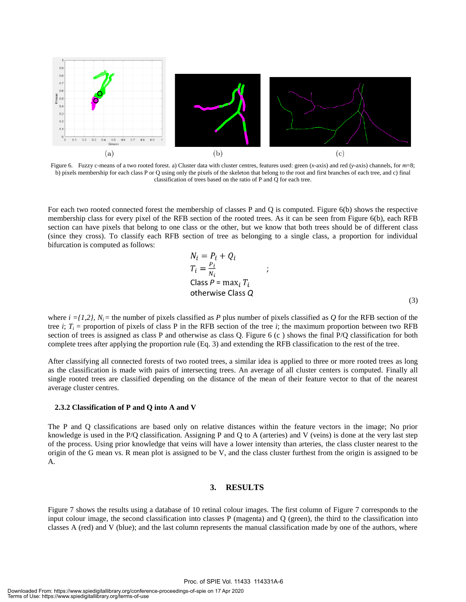

Figure 6. Fuzzy c-means of a two rooted forest. a) Cluster data with cluster centres, features used: green (*x*-axis) and red (*y*-axis) channels, for *m*=8; b) pixels membership for each class P or Q using only the pixels of the skeleton that belong to the root and first branches of each tree, and c) final classification of trees based on the ratio of P and Q for each tree.

For each two rooted connected forest the membership of classes P and Q is computed. Figure 6(b) shows the respective membership class for every pixel of the RFB section of the rooted trees. As it can be seen from Figure 6(b), each RFB section can have pixels that belong to one class or the other, but we know that both trees should be of different class (since they cross). To classify each RFB section of tree as belonging to a single class, a proportion for individual bifurcation is computed as follows:

$$
N_i = P_i + Q_i
$$
  
\n
$$
T_i = \frac{P_i}{N_i}
$$
  
\n
$$
Class P = \max_i T_i
$$
  
\notherwise Class Q (3)

where  $i = \{1, 2\}$ ,  $N_i$  = the number of pixels classified as *P* plus number of pixels classified as *Q* for the RFB section of the tree *i*;  $T_i$  = proportion of pixels of class P in the RFB section of the tree *i*; the maximum proportion between two RFB section of trees is assigned as class P and otherwise as class Q. Figure 6 (c ) shows the final P/Q classification for both complete trees after applying the proportion rule (Eq. 3) and extending the RFB classification to the rest of the tree.

After classifying all connected forests of two rooted trees, a similar idea is applied to three or more rooted trees as long as the classification is made with pairs of intersecting trees. An average of all cluster centers is computed. Finally all single rooted trees are classified depending on the distance of the mean of their feature vector to that of the nearest average cluster centres.

#### **2.3.2 Classification of P and Q into A and V**

The P and Q classifications are based only on relative distances within the feature vectors in the image; No prior knowledge is used in the P/Q classification. Assigning P and Q to A (arteries) and V (veins) is done at the very last step of the process. Using prior knowledge that veins will have a lower intensity than arteries, the class cluster nearest to the origin of the G mean vs. R mean plot is assigned to be V, and the class cluster furthest from the origin is assigned to be A.

#### **3. RESULTS**

Figure 7 shows the results using a database of 10 retinal colour images. The first column of Figure 7 corresponds to the input colour image, the second classification into classes P (magenta) and Q (green), the third to the classification into classes A (red) and V (blue); and the last column represents the manual classification made by one of the authors, where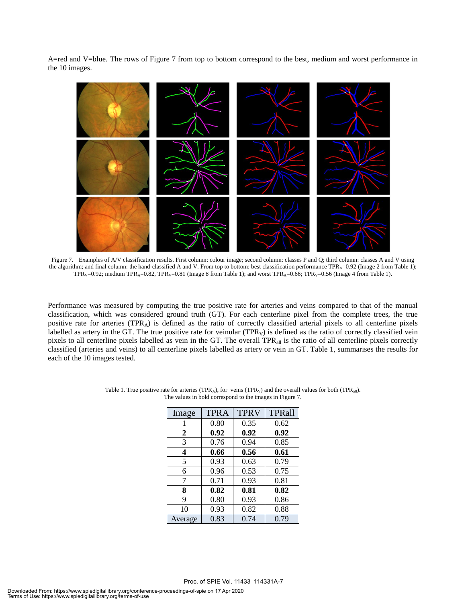A=red and V=blue. The rows of Figure 7 from top to bottom correspond to the best, medium and worst performance in the 10 images.



Figure 7. Examples of A/V classification results. First column: colour image; second column: classes P and Q; third column: classes A and V using the algorithm; and final column: the hand-classified A and V. From top to bottom: best classification performance TPR<sub>A</sub>=0.92 (Image 2 from Table 1); TPR<sub>V</sub>=0.92; medium TPR<sub>A</sub>=0.82, TPR<sub>V</sub>=0.81 (Image 8 from Table 1); and worst TPR<sub>A</sub>=0.66; TPR<sub>V</sub>=0.56 (Image 4 from Table 1).

Performance was measured by computing the true positive rate for arteries and veins compared to that of the manual classification, which was considered ground truth (GT). For each centerline pixel from the complete trees, the true positive rate for arteries ( $TPR_A$ ) is defined as the ratio of correctly classified arterial pixels to all centerline pixels labelled as artery in the GT. The true positive rate for veinular  $(TPR_V)$  is defined as the ratio of correctly classified vein pixels to all centerline pixels labelled as vein in the GT. The overall TPR<sub>all</sub> is the ratio of all centerline pixels correctly classified (arteries and veins) to all centerline pixels labelled as artery or vein in GT. Table 1, summarises the results for each of the 10 images tested.

| Image   | <b>TPRA</b> | <b>TPRV</b> | TPRall |
|---------|-------------|-------------|--------|
|         | 0.80        | 0.35        | 0.62   |
| 2       | 0.92        | 0.92        | 0.92   |
| 3       | 0.76        | 0.94        | 0.85   |
| 4       | 0.66        | 0.56        | 0.61   |
| 5       | 0.93        | 0.63        | 0.79   |
| 6       | 0.96        | 0.53        | 0.75   |
| 7       | 0.71        | 0.93        | 0.81   |
| 8       | 0.82        | 0.81        | 0.82   |
| 9       | 0.80        | 0.93        | 0.86   |
| 10      | 0.93        | 0.82        | 0.88   |
| Average | 0.83        | 0.74        | 0.79   |

Table 1. True positive rate for arteries (TPR<sub>A</sub>), for veins (TPR<sub>V</sub>) and the overall values for both (TPR<sub>all</sub>). The values in bold correspond to the images in Figure 7.